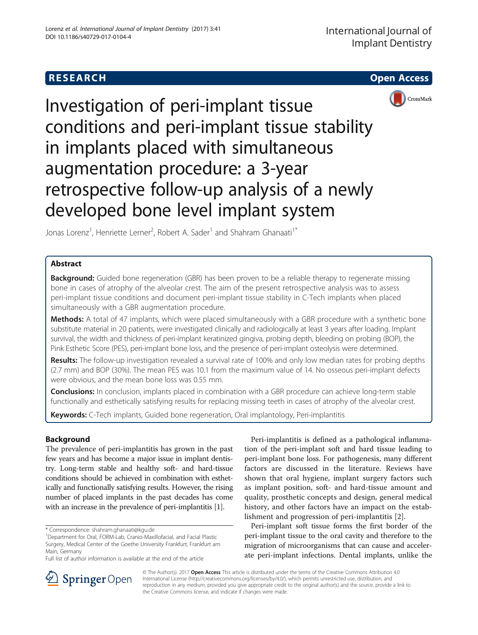



Investigation of peri-implant tissue conditions and peri-implant tissue stability in implants placed with simultaneous augmentation procedure: a 3-year retrospective follow-up analysis of a newly developed bone level implant system

Jonas Lorenz<sup>1</sup>, Henriette Lerner<sup>2</sup>, Robert A. Sader<sup>1</sup> and Shahram Ghanaati<sup>1\*</sup>

# Abstract

Background: Guided bone regeneration (GBR) has been proven to be a reliable therapy to regenerate missing bone in cases of atrophy of the alveolar crest. The aim of the present retrospective analysis was to assess peri-implant tissue conditions and document peri-implant tissue stability in C-Tech implants when placed simultaneously with a GBR augmentation procedure.

Methods: A total of 47 implants, which were placed simultaneously with a GBR procedure with a synthetic bone substitute material in 20 patients, were investigated clinically and radiologically at least 3 years after loading. Implant survival, the width and thickness of peri-implant keratinized gingiva, probing depth, bleeding on probing (BOP), the Pink Esthetic Score (PES), peri-implant bone loss, and the presence of peri-implant osteolysis were determined.

Results: The follow-up investigation revealed a survival rate of 100% and only low median rates for probing depths (2.7 mm) and BOP (30%). The mean PES was 10.1 from the maximum value of 14. No osseous peri-implant defects were obvious, and the mean bone loss was 0.55 mm.

**Conclusions:** In conclusion, implants placed in combination with a GBR procedure can achieve long-term stable functionally and esthetically satisfying results for replacing missing teeth in cases of atrophy of the alveolar crest.

Keywords: C-Tech implants, Guided bone regeneration, Oral implantology, Peri-implantitis

# Background

The prevalence of peri-implantitis has grown in the past few years and has become a major issue in implant dentistry. Long-term stable and healthy soft- and hard-tissue conditions should be achieved in combination with esthetically and functionally satisfying results. However, the rising number of placed implants in the past decades has come with an increase in the prevalence of peri-implantitis [\[1\]](#page-8-0).

Peri-implantitis is defined as a pathological inflammation of the peri-implant soft and hard tissue leading to peri-implant bone loss. For pathogenesis, many different factors are discussed in the literature. Reviews have shown that oral hygiene, implant surgery factors such as implant position, soft- and hard-tissue amount and quality, prosthetic concepts and design, general medical history, and other factors have an impact on the establishment and progression of peri-implantitis [[2](#page-8-0)].

Peri-implant soft tissue forms the first border of the peri-implant tissue to the oral cavity and therefore to the migration of microorganisms that can cause and accelerate peri-implant infections. Dental implants, unlike the



© The Author(s). 2017 **Open Access** This article is distributed under the terms of the Creative Commons Attribution 4.0 International License ([http://creativecommons.org/licenses/by/4.0/\)](http://creativecommons.org/licenses/by/4.0/), which permits unrestricted use, distribution, and reproduction in any medium, provided you give appropriate credit to the original author(s) and the source, provide a link to the Creative Commons license, and indicate if changes were made.

<sup>\*</sup> Correspondence: [shahram.ghanaati@kgu.de](mailto:shahram.ghanaati@kgu.de) <sup>1</sup>

<sup>&</sup>lt;sup>1</sup>Department for Oral, FORM-Lab, Cranio-Maxillofacial, and Facial Plastic Surgery, Medical Center of the Goethe University Frankfurt, Frankfurt am Main, Germany

Full list of author information is available at the end of the article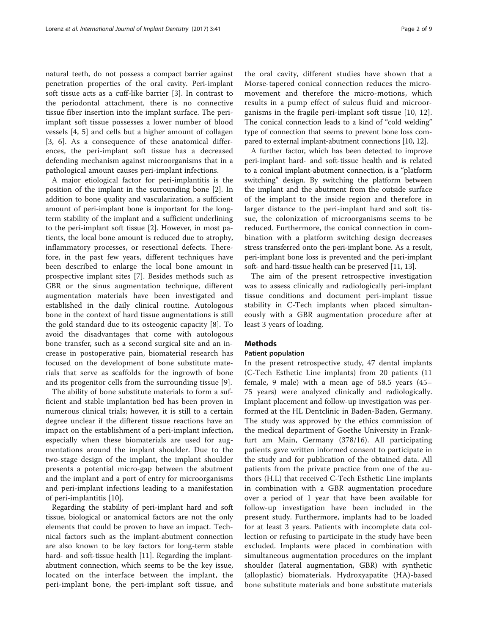natural teeth, do not possess a compact barrier against penetration properties of the oral cavity. Peri-implant soft tissue acts as a cuff-like barrier [\[3](#page-8-0)]. In contrast to the periodontal attachment, there is no connective tissue fiber insertion into the implant surface. The periimplant soft tissue possesses a lower number of blood vessels [\[4](#page-8-0), [5\]](#page-8-0) and cells but a higher amount of collagen [[3, 6\]](#page-8-0). As a consequence of these anatomical differences, the peri-implant soft tissue has a decreased defending mechanism against microorganisms that in a pathological amount causes peri-implant infections.

A major etiological factor for peri-implantitis is the position of the implant in the surrounding bone [[2\]](#page-8-0). In addition to bone quality and vascularization, a sufficient amount of peri-implant bone is important for the longterm stability of the implant and a sufficient underlining to the peri-implant soft tissue [\[2](#page-8-0)]. However, in most patients, the local bone amount is reduced due to atrophy, inflammatory processes, or resectional defects. Therefore, in the past few years, different techniques have been described to enlarge the local bone amount in prospective implant sites [[7\]](#page-8-0). Besides methods such as GBR or the sinus augmentation technique, different augmentation materials have been investigated and established in the daily clinical routine. Autologous bone in the context of hard tissue augmentations is still the gold standard due to its osteogenic capacity [[8\]](#page-8-0). To avoid the disadvantages that come with autologous bone transfer, such as a second surgical site and an increase in postoperative pain, biomaterial research has focused on the development of bone substitute materials that serve as scaffolds for the ingrowth of bone and its progenitor cells from the surrounding tissue [[9\]](#page-8-0).

The ability of bone substitute materials to form a sufficient and stable implantation bed has been proven in numerous clinical trials; however, it is still to a certain degree unclear if the different tissue reactions have an impact on the establishment of a peri-implant infection, especially when these biomaterials are used for augmentations around the implant shoulder. Due to the two-stage design of the implant, the implant shoulder presents a potential micro-gap between the abutment and the implant and a port of entry for microorganisms and peri-implant infections leading to a manifestation of peri-implantitis [\[10](#page-8-0)].

Regarding the stability of peri-implant hard and soft tissue, biological or anatomical factors are not the only elements that could be proven to have an impact. Technical factors such as the implant-abutment connection are also known to be key factors for long-term stable hard- and soft-tissue health [[11\]](#page-8-0). Regarding the implantabutment connection, which seems to be the key issue, located on the interface between the implant, the peri-implant bone, the peri-implant soft tissue, and

the oral cavity, different studies have shown that a Morse-tapered conical connection reduces the micromovement and therefore the micro-motions, which results in a pump effect of sulcus fluid and microorganisms in the fragile peri-implant soft tissue [[10](#page-8-0), [12\]](#page-8-0). The conical connection leads to a kind of "cold welding" type of connection that seems to prevent bone loss compared to external implant-abutment connections [[10](#page-8-0), [12\]](#page-8-0).

A further factor, which has been detected to improve peri-implant hard- and soft-tissue health and is related to a conical implant-abutment connection, is a "platform switching" design. By switching the platform between the implant and the abutment from the outside surface of the implant to the inside region and therefore in larger distance to the peri-implant hard and soft tissue, the colonization of microorganisms seems to be reduced. Furthermore, the conical connection in combination with a platform switching design decreases stress transferred onto the peri-implant bone. As a result, peri-implant bone loss is prevented and the peri-implant soft- and hard-tissue health can be preserved [[11](#page-8-0), [13\]](#page-8-0).

The aim of the present retrospective investigation was to assess clinically and radiologically peri-implant tissue conditions and document peri-implant tissue stability in C-Tech implants when placed simultaneously with a GBR augmentation procedure after at least 3 years of loading.

## **Methods**

#### Patient population

In the present retrospective study, 47 dental implants (C-Tech Esthetic Line implants) from 20 patients (11 female, 9 male) with a mean age of 58.5 years (45– 75 years) were analyzed clinically and radiologically. Implant placement and follow-up investigation was performed at the HL Dentclinic in Baden-Baden, Germany. The study was approved by the ethics commission of the medical department of Goethe University in Frankfurt am Main, Germany (378/16). All participating patients gave written informed consent to participate in the study and for publication of the obtained data. All patients from the private practice from one of the authors (H.L) that received C-Tech Esthetic Line implants in combination with a GBR augmentation procedure over a period of 1 year that have been available for follow-up investigation have been included in the present study. Furthermore, implants had to be loaded for at least 3 years. Patients with incomplete data collection or refusing to participate in the study have been excluded. Implants were placed in combination with simultaneous augmentation procedures on the implant shoulder (lateral augmentation, GBR) with synthetic (alloplastic) biomaterials. Hydroxyapatite (HA)-based bone substitute materials and bone substitute materials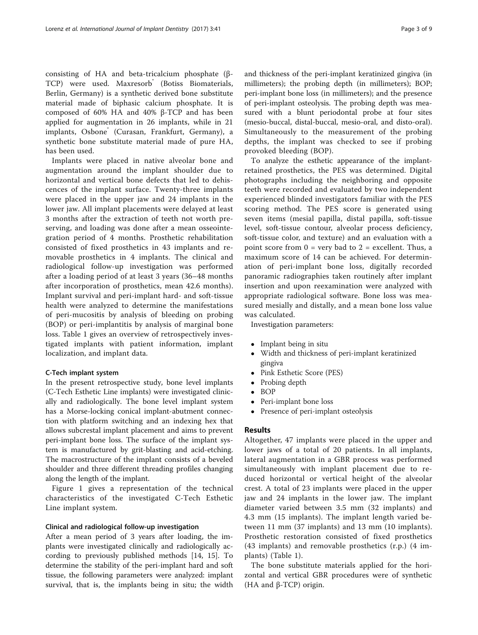consisting of HA and beta-tricalcium phosphate (β-TCP) were used. Maxresorb<sup>®</sup> (Botiss Biomaterials, Berlin, Germany) is a synthetic derived bone substitute material made of biphasic calcium phosphate. It is composed of 60% HA and 40% β-TCP and has been applied for augmentation in 26 implants, while in 21 implants, Osbone<sup>®</sup> (Curasan, Frankfurt, Germany), a synthetic bone substitute material made of pure HA, has been used.

Implants were placed in native alveolar bone and augmentation around the implant shoulder due to horizontal and vertical bone defects that led to dehiscences of the implant surface. Twenty-three implants were placed in the upper jaw and 24 implants in the lower jaw. All implant placements were delayed at least 3 months after the extraction of teeth not worth preserving, and loading was done after a mean osseointegration period of 4 months. Prosthetic rehabilitation consisted of fixed prosthetics in 43 implants and removable prosthetics in 4 implants. The clinical and radiological follow-up investigation was performed after a loading period of at least 3 years (36–48 months after incorporation of prosthetics, mean 42.6 months). Implant survival and peri-implant hard- and soft-tissue health were analyzed to determine the manifestations of peri-mucositis by analysis of bleeding on probing (BOP) or peri-implantitis by analysis of marginal bone loss. Table [1](#page-3-0) gives an overview of retrospectively investigated implants with patient information, implant localization, and implant data.

#### C-Tech implant system

In the present retrospective study, bone level implants (C-Tech Esthetic Line implants) were investigated clinically and radiologically. The bone level implant system has a Morse-locking conical implant-abutment connection with platform switching and an indexing hex that allows subcrestal implant placement and aims to prevent peri-implant bone loss. The surface of the implant system is manufactured by grit-blasting and acid-etching. The macrostructure of the implant consists of a beveled shoulder and three different threading profiles changing along the length of the implant.

Figure [1](#page-4-0) gives a representation of the technical characteristics of the investigated C-Tech Esthetic Line implant system.

#### Clinical and radiological follow-up investigation

After a mean period of 3 years after loading, the implants were investigated clinically and radiologically according to previously published methods [\[14](#page-8-0), [15](#page-8-0)]. To determine the stability of the peri-implant hard and soft tissue, the following parameters were analyzed: implant survival, that is, the implants being in situ; the width and thickness of the peri-implant keratinized gingiva (in millimeters); the probing depth (in millimeters); BOP; peri-implant bone loss (in millimeters); and the presence of peri-implant osteolysis. The probing depth was measured with a blunt periodontal probe at four sites (mesio-buccal, distal-buccal, mesio-oral, and disto-oral). Simultaneously to the measurement of the probing depths, the implant was checked to see if probing provoked bleeding (BOP).

To analyze the esthetic appearance of the implantretained prosthetics, the PES was determined. Digital photographs including the neighboring and opposite teeth were recorded and evaluated by two independent experienced blinded investigators familiar with the PES scoring method. The PES score is generated using seven items (mesial papilla, distal papilla, soft-tissue level, soft-tissue contour, alveolar process deficiency, soft-tissue color, and texture) and an evaluation with a point score from  $0 =$  very bad to  $2 =$  excellent. Thus, a maximum score of 14 can be achieved. For determination of peri-implant bone loss, digitally recorded panoramic radiographies taken routinely after implant insertion and upon reexamination were analyzed with appropriate radiological software. Bone loss was measured mesially and distally, and a mean bone loss value was calculated.

Investigation parameters:

- Implant being in situ
- Width and thickness of peri-implant keratinized gingiva
- Pink Esthetic Score (PES)
- Probing depth<br>• BOP
- $\bullet$  BOP<br> $\bullet$  Peri-
- Peri-implant bone loss<br>• Presence of peri-impla
- Presence of peri-implant osteolysis

#### Results

Altogether, 47 implants were placed in the upper and lower jaws of a total of 20 patients. In all implants, lateral augmentation in a GBR process was performed simultaneously with implant placement due to reduced horizontal or vertical height of the alveolar crest. A total of 23 implants were placed in the upper jaw and 24 implants in the lower jaw. The implant diameter varied between 3.5 mm (32 implants) and 4.3 mm (15 implants). The implant length varied between 11 mm (37 implants) and 13 mm (10 implants). Prosthetic restoration consisted of fixed prosthetics (43 implants) and removable prosthetics (r.p.) (4 implants) (Table [1\)](#page-3-0).

The bone substitute materials applied for the horizontal and vertical GBR procedures were of synthetic (HA and  $β$ -TCP) origin.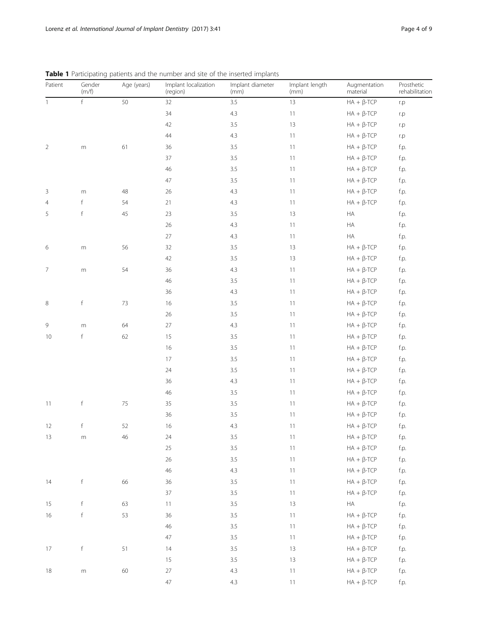| Patient        | Gender<br>(m/f) | Age (years) | <b>TWOLF T</b> and opening patients and the namber and site of the inserted implants<br>Implant localization<br>(region) | Implant diameter<br>(mm) | Implant length<br>(mm) | Augmentation<br>material | Prosthetic<br>rehabilitation |
|----------------|-----------------|-------------|--------------------------------------------------------------------------------------------------------------------------|--------------------------|------------------------|--------------------------|------------------------------|
| $\mathbf{1}$   | f               | 50          | 32                                                                                                                       | 3.5                      | 13                     | $HA + \beta$ -TCP        | r.p                          |
|                |                 |             | 34                                                                                                                       | 4.3                      | $11$                   | $HA + \beta$ -TCP        | r.p                          |
|                |                 |             | 42                                                                                                                       | 3.5                      | 13                     | $HA + \beta$ -TCP        | r.p                          |
|                |                 |             | $44\,$                                                                                                                   | 4.3                      | $11$                   | $HA + \beta$ -TCP        | r.p                          |
| $\overline{2}$ | ${\sf m}$       | 61          | 36                                                                                                                       | 3.5                      | 11                     | $HA + \beta$ -TCP        | f.p.                         |
|                |                 |             | 37                                                                                                                       | 3.5                      | 11                     | $HA + \beta$ -TCP        | f.p.                         |
|                |                 |             | $46\,$                                                                                                                   | 3.5                      | 11                     | $HA + \beta$ -TCP        | f.p.                         |
|                |                 |             | 47                                                                                                                       | 3.5                      | $11$                   | $HA + \beta$ -TCP        | f.p.                         |
| 3              | ${\sf m}$       | 48          | $26\,$                                                                                                                   | 4.3                      | 11                     | $HA + \beta$ -TCP        | f.p.                         |
| $\overline{4}$ | $\mathsf f$     | 54          | 21                                                                                                                       | 4.3                      | $11$                   | $HA + \beta$ -TCP        | f.p.                         |
| 5              | $\mathsf f$     | 45          | 23                                                                                                                       | 3.5                      | 13                     | ${\sf HA}$               | f.p.                         |
|                |                 |             | 26                                                                                                                       | 4.3                      | 11                     | ${\sf HA}$               | f.p.                         |
|                |                 |             | $27\,$                                                                                                                   | 4.3                      | $11$                   | ${\sf HA}$               | f.p.                         |
| 6              | ${\sf m}$       | 56          | 32                                                                                                                       | 3.5                      | 13                     | $HA + \beta$ -TCP        | f.p.                         |
|                |                 |             | $42\,$                                                                                                                   | 3.5                      | 13                     | $HA + \beta$ -TCP        | f.p.                         |
| 7              | ${\sf m}$       | 54          | 36                                                                                                                       | 4.3                      | $11$                   | $HA + \beta$ -TCP        | f.p.                         |
|                |                 |             | $46\,$                                                                                                                   | 3.5                      | 11                     | $HA + \beta$ -TCP        | f.p.                         |
|                |                 |             | 36                                                                                                                       | 4.3                      | 11                     | $HA + \beta$ -TCP        | f.p.                         |
| 8              | f               | $73\,$      | 16                                                                                                                       | 3.5                      | 11                     | $HA + \beta$ -TCP        | f.p.                         |
|                |                 |             | 26                                                                                                                       | 3.5                      | 11                     | $HA + \beta$ -TCP        | f.p.                         |
| 9              | $\,$ m $\,$     | 64          | $27\,$                                                                                                                   | 4.3                      | $11$                   | $HA + \beta$ -TCP        | f.p.                         |
| 10             | f               | 62          | $15\,$                                                                                                                   | 3.5                      | 11                     | $HA + \beta$ -TCP        | f.p.                         |
|                |                 |             | $16\,$                                                                                                                   | 3.5                      | 11                     | $HA + \beta$ -TCP        | f.p.                         |
|                |                 |             | $17\,$                                                                                                                   | 3.5                      | 11                     | $HA + \beta$ -TCP        | f.p.                         |
|                |                 |             | 24                                                                                                                       | 3.5                      | 11                     | $HA + \beta$ -TCP        | f.p.                         |
|                |                 |             | $36\,$                                                                                                                   | 4.3                      | 11                     | $HA + \beta$ -TCP        | f.p.                         |
|                |                 |             | $46\,$                                                                                                                   | 3.5                      | $11$                   | $HA + \beta$ -TCP        | f.p.                         |
| 11             | $\mathsf f$     | $75\,$      | 35                                                                                                                       | 3.5                      | 11                     | $HA + \beta$ -TCP        | f.p.                         |
|                |                 |             | $36\,$                                                                                                                   | 3.5                      | 11                     | $HA + \beta$ -TCP        | f.p.                         |
| 12             | $\mathsf f$     | 52          | 16                                                                                                                       | 4.3                      | $11$                   | $HA + \beta$ -TCP        | f.p.                         |
| 13             | m               | 46          | 24                                                                                                                       | 3.5                      | $11\,$                 | $HA + \beta$ -TCP        | f.p.                         |
|                |                 |             | $25\,$                                                                                                                   | $3.5\,$                  | 11                     | $HA + \beta$ -TCP        | f.p.                         |
|                |                 |             | $26\,$                                                                                                                   | 3.5                      | $11$                   | $HA + \beta$ -TCP        | f.p.                         |
|                |                 |             | $46\,$                                                                                                                   | 4.3                      | $11$                   | $HA + \beta$ -TCP        | f.p.                         |
| 14             | $\mathsf f$     | 66          | $36\,$                                                                                                                   | 3.5                      | $11$                   | $HA + \beta$ -TCP        | f.p.                         |
|                |                 |             | $37\,$                                                                                                                   | 3.5                      | $11$                   | $HA + \beta$ -TCP        | f.p.                         |
| 15             | $\mathsf f$     | 63          | $11$                                                                                                                     | 3.5                      | 13                     | ${\sf HA}$               | f.p.                         |
| 16             | $\mathsf f$     | 53          | $36\,$                                                                                                                   | 3.5                      | $11$                   | $HA + \beta$ -TCP        | f.p.                         |
|                |                 |             | $46\,$                                                                                                                   | 3.5                      | $11$                   | $HA + \beta$ -TCP        | f.p.                         |
|                |                 |             | $47\,$                                                                                                                   | 3.5                      | $11$                   | $HA + \beta$ -TCP        | f.p.                         |
| 17             | $\mathsf f$     | 51          | 14                                                                                                                       | 3.5                      | 13                     | $HA + \beta$ -TCP        | f.p.                         |
|                |                 |             | $15\,$                                                                                                                   | 3.5                      | $13$                   | $HA + \beta$ -TCP        | f.p.                         |
| 18             | ${\sf m}$       | 60          | $27\,$                                                                                                                   | 4.3                      | $11$                   | $HA + \beta$ -TCP        | f.p.                         |
|                |                 |             | $47\,$                                                                                                                   |                          |                        |                          |                              |
|                |                 |             |                                                                                                                          | 4.3                      | $11$                   | $HA + \beta$ -TCP        | f.p.                         |

<span id="page-3-0"></span>Table 1 Participating patients and the number and site of the inserted implants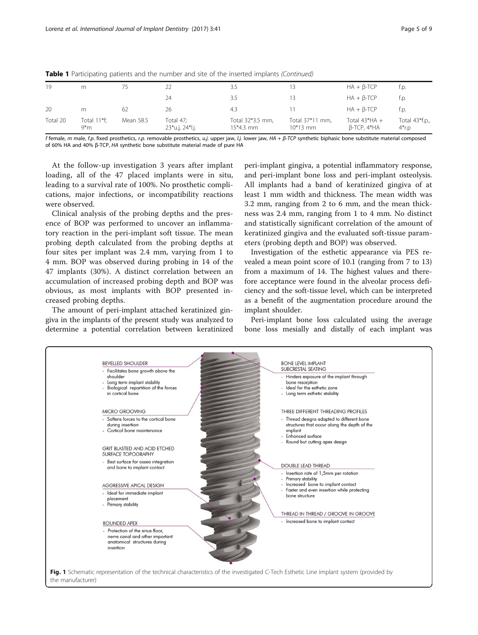| 19       | m                     |           |                              | 3.5                             |                               | $HA + B-TCP$                          | t.p.                       |
|----------|-----------------------|-----------|------------------------------|---------------------------------|-------------------------------|---------------------------------------|----------------------------|
|          |                       |           | 24                           | 3.5                             |                               | $HA + B-TCP$                          | t.p.                       |
| 20       | m                     | 62        | 26                           | 4.3                             |                               | $HA + B-TCP$                          | f.p.                       |
| Total 20 | Total $11*f$ :<br>9*m | Mean 58.5 | Total 47:<br>23*u.j, 24*l.j. | Total 32*3.5 mm,<br>$15*4.3$ mm | Total 37*11 mm,<br>$10*13$ mm | Total $43*HA +$<br>$\beta$ -TCP, 4*HA | Total 43*f.p.,<br>$4*$ r.p |

<span id="page-4-0"></span>**Table 1** Participating patients and the number and site of the inserted implants (Continued)

f female, m male, f.p. fixed prosthetics, r.p. removable prosthetics, u.j. upper jaw, l.j. lower jaw, HA +  $\beta$ -TCP synthetic biphasic bone substitute material composed of 60% HA and 40% β-TCP, HA synthetic bone substitute material made of pure HA

At the follow-up investigation 3 years after implant loading, all of the 47 placed implants were in situ, leading to a survival rate of 100%. No prosthetic complications, major infections, or incompatibility reactions were observed.

Clinical analysis of the probing depths and the presence of BOP was performed to uncover an inflammatory reaction in the peri-implant soft tissue. The mean probing depth calculated from the probing depths at four sites per implant was 2.4 mm, varying from 1 to 4 mm. BOP was observed during probing in 14 of the 47 implants (30%). A distinct correlation between an accumulation of increased probing depth and BOP was obvious, as most implants with BOP presented increased probing depths.

The amount of peri-implant attached keratinized gingiva in the implants of the present study was analyzed to determine a potential correlation between keratinized

peri-implant gingiva, a potential inflammatory response, and peri-implant bone loss and peri-implant osteolysis. All implants had a band of keratinized gingiva of at least 1 mm width and thickness. The mean width was 3.2 mm, ranging from 2 to 6 mm, and the mean thickness was 2.4 mm, ranging from 1 to 4 mm. No distinct and statistically significant correlation of the amount of keratinized gingiva and the evaluated soft-tissue parameters (probing depth and BOP) was observed.

Investigation of the esthetic appearance via PES revealed a mean point score of 10.1 (ranging from 7 to 13) from a maximum of 14. The highest values and therefore acceptance were found in the alveolar process deficiency and the soft-tissue level, which can be interpreted as a benefit of the augmentation procedure around the implant shoulder.

Peri-implant bone loss calculated using the average bone loss mesially and distally of each implant was

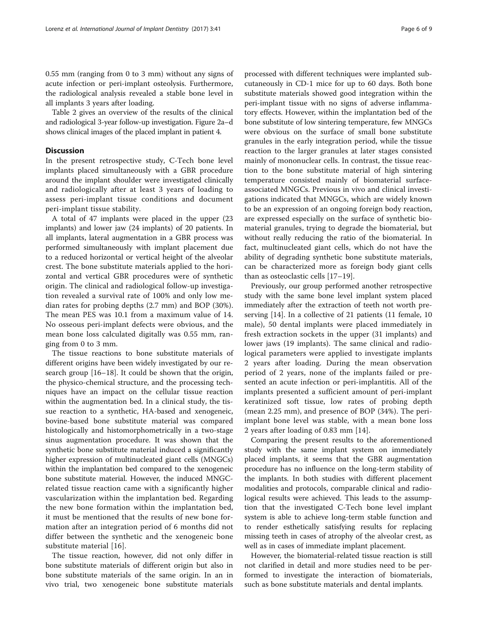0.55 mm (ranging from 0 to 3 mm) without any signs of acute infection or peri-implant osteolysis. Furthermore, the radiological analysis revealed a stable bone level in all implants 3 years after loading.

Table [2](#page-6-0) gives an overview of the results of the clinical and radiological 3-year follow-up investigation. Figure [2](#page-7-0)a–d shows clinical images of the placed implant in patient 4.

### **Discussion**

In the present retrospective study, C-Tech bone level implants placed simultaneously with a GBR procedure around the implant shoulder were investigated clinically and radiologically after at least 3 years of loading to assess peri-implant tissue conditions and document peri-implant tissue stability.

A total of 47 implants were placed in the upper (23 implants) and lower jaw (24 implants) of 20 patients. In all implants, lateral augmentation in a GBR process was performed simultaneously with implant placement due to a reduced horizontal or vertical height of the alveolar crest. The bone substitute materials applied to the horizontal and vertical GBR procedures were of synthetic origin. The clinical and radiological follow-up investigation revealed a survival rate of 100% and only low median rates for probing depths (2.7 mm) and BOP (30%). The mean PES was 10.1 from a maximum value of 14. No osseous peri-implant defects were obvious, and the mean bone loss calculated digitally was 0.55 mm, ranging from 0 to 3 mm.

The tissue reactions to bone substitute materials of different origins have been widely investigated by our research group [\[16](#page-8-0)–[18](#page-8-0)]. It could be shown that the origin, the physico-chemical structure, and the processing techniques have an impact on the cellular tissue reaction within the augmentation bed. In a clinical study, the tissue reaction to a synthetic, HA-based and xenogeneic, bovine-based bone substitute material was compared histologically and histomorphometrically in a two-stage sinus augmentation procedure. It was shown that the synthetic bone substitute material induced a significantly higher expression of multinucleated giant cells (MNGCs) within the implantation bed compared to the xenogeneic bone substitute material. However, the induced MNGCrelated tissue reaction came with a significantly higher vascularization within the implantation bed. Regarding the new bone formation within the implantation bed, it must be mentioned that the results of new bone formation after an integration period of 6 months did not differ between the synthetic and the xenogeneic bone substitute material [[16\]](#page-8-0).

The tissue reaction, however, did not only differ in bone substitute materials of different origin but also in bone substitute materials of the same origin. In an in vivo trial, two xenogeneic bone substitute materials processed with different techniques were implanted subcutaneously in CD-1 mice for up to 60 days. Both bone substitute materials showed good integration within the peri-implant tissue with no signs of adverse inflammatory effects. However, within the implantation bed of the bone substitute of low sintering temperature, few MNGCs were obvious on the surface of small bone substitute granules in the early integration period, while the tissue reaction to the larger granules at later stages consisted mainly of mononuclear cells. In contrast, the tissue reaction to the bone substitute material of high sintering temperature consisted mainly of biomaterial surfaceassociated MNGCs. Previous in vivo and clinical investigations indicated that MNGCs, which are widely known to be an expression of an ongoing foreign body reaction, are expressed especially on the surface of synthetic biomaterial granules, trying to degrade the biomaterial, but without really reducing the ratio of the biomaterial. In fact, multinucleated giant cells, which do not have the ability of degrading synthetic bone substitute materials, can be characterized more as foreign body giant cells than as osteoclastic cells [[17](#page-8-0)–[19\]](#page-8-0).

Previously, our group performed another retrospective study with the same bone level implant system placed immediately after the extraction of teeth not worth preserving [[14](#page-8-0)]. In a collective of 21 patients (11 female, 10 male), 50 dental implants were placed immediately in fresh extraction sockets in the upper (31 implants) and lower jaws (19 implants). The same clinical and radiological parameters were applied to investigate implants 2 years after loading. During the mean observation period of 2 years, none of the implants failed or presented an acute infection or peri-implantitis. All of the implants presented a sufficient amount of peri-implant keratinized soft tissue, low rates of probing depth (mean 2.25 mm), and presence of BOP (34%). The periimplant bone level was stable, with a mean bone loss 2 years after loading of 0.83 mm [\[14](#page-8-0)].

Comparing the present results to the aforementioned study with the same implant system on immediately placed implants, it seems that the GBR augmentation procedure has no influence on the long-term stability of the implants. In both studies with different placement modalities and protocols, comparable clinical and radiological results were achieved. This leads to the assumption that the investigated C-Tech bone level implant system is able to achieve long-term stable function and to render esthetically satisfying results for replacing missing teeth in cases of atrophy of the alveolar crest, as well as in cases of immediate implant placement.

However, the biomaterial-related tissue reaction is still not clarified in detail and more studies need to be performed to investigate the interaction of biomaterials, such as bone substitute materials and dental implants.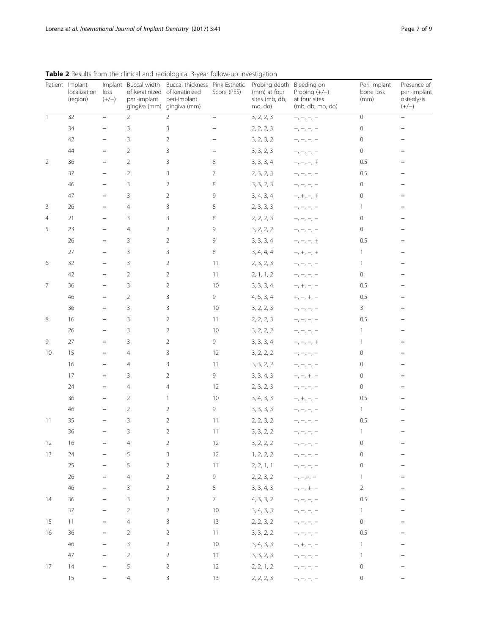|                | Patient Implant-<br>localization<br>(region) | loss<br>$(+/-)$          | Implant Buccal width<br>of keratinized<br>peri-implant<br>gingiva (mm) | Buccal thickness Pink Esthetic<br>of keratinized<br>peri-implant<br>gingiva (mm) | Score (PES)              | Probing depth Bleeding on<br>(mm) at four<br>sites (mb, db,<br>mo, do) | Probing $(+/-)$<br>at four sites<br>(mb, db, mo, do)                                    | Peri-implant<br>bone loss<br>(mm) | Presence of<br>peri-implant<br>osteolysis<br>$(+/-)$ |
|----------------|----------------------------------------------|--------------------------|------------------------------------------------------------------------|----------------------------------------------------------------------------------|--------------------------|------------------------------------------------------------------------|-----------------------------------------------------------------------------------------|-----------------------------------|------------------------------------------------------|
| $\mathbf{1}$   | 32                                           | $\overline{\phantom{a}}$ | $\overline{2}$                                                         | $\overline{2}$                                                                   | $\overline{\phantom{a}}$ | 3, 2, 2, 3                                                             | $-$ , $-$ , $-$ , $-$                                                                   | $\overline{0}$                    | $\overline{\phantom{0}}$                             |
|                | 34                                           | $\overline{\phantom{0}}$ | 3                                                                      | 3                                                                                |                          | 2, 2, 2, 3                                                             | $-,-,-,-$                                                                               | $\circ$                           | —                                                    |
|                | 42                                           | $\overline{\phantom{a}}$ | 3                                                                      | $\overline{2}$                                                                   |                          | 3, 2, 3, 2                                                             | $-,-,-,-$                                                                               | $\circ$                           |                                                      |
|                | 44                                           | $\qquad \qquad -$        | $\overline{2}$                                                         | 3                                                                                |                          | 3, 3, 2, 3                                                             | $-,-,-,-$                                                                               | $\circ$                           |                                                      |
| $\overline{2}$ | 36                                           | $\overline{\phantom{0}}$ | $\overline{2}$                                                         | 3                                                                                | $\,8\,$                  | 3, 3, 3, 4                                                             | $-$ , $-$ , $-$ , $+$                                                                   | 0.5                               |                                                      |
|                | 37                                           | $\overline{\phantom{0}}$ | $\overline{2}$                                                         | 3                                                                                | $\overline{7}$           | 2, 3, 2, 3                                                             | $-$ , $-$ , $-$ , $-$                                                                   | 0.5                               |                                                      |
|                | 46                                           | $\overline{\phantom{m}}$ | 3                                                                      | $\overline{2}$                                                                   | 8                        | 3, 3, 2, 3                                                             | $-,-,-,-$                                                                               | $\circ$                           |                                                      |
|                | 47                                           | $\overline{\phantom{0}}$ | 3                                                                      | $\overline{2}$                                                                   | 9                        | 3, 4, 3, 4                                                             | $-$ , +, -, +                                                                           | $\circ$                           |                                                      |
| 3              | 26                                           | $\overline{\phantom{0}}$ | $\overline{4}$                                                         | 3                                                                                | 8                        | 2, 3, 3, 3                                                             | $-$ , $-$ , $-$ , $-$                                                                   | $\mathbf{1}$                      |                                                      |
| $\overline{4}$ | 21                                           | $\qquad \qquad -$        | 3                                                                      | 3                                                                                | 8                        | 2, 2, 2, 3                                                             | $-,-,-,-$                                                                               | $\circ$                           |                                                      |
| 5              | 23                                           | $\overline{\phantom{0}}$ | $\overline{4}$                                                         | $\overline{2}$                                                                   | 9                        | 3, 2, 2, 2                                                             | $-,-,-,-$                                                                               | $\circ$                           |                                                      |
|                | 26                                           | $\overline{\phantom{m}}$ | 3                                                                      | $\overline{2}$                                                                   | 9                        | 3, 3, 3, 4                                                             | $-$ , $-$ , $-$ , $+$                                                                   | 0.5                               |                                                      |
|                | 27                                           | $\qquad \qquad -$        | 3                                                                      | 3                                                                                | 8                        | 3, 4, 4, 4                                                             | $-$ , +, -, +                                                                           | $\mathbf{1}$                      |                                                      |
| 6              | 32                                           | $\overline{\phantom{0}}$ | 3                                                                      | $\overline{2}$                                                                   | 11                       | 2, 3, 2, 3                                                             | $-,-,-,-$                                                                               | $\mathbf{1}$                      |                                                      |
|                | 42                                           | $\overline{\phantom{m}}$ | $\overline{2}$                                                         | $\overline{2}$                                                                   | 11                       | 2, 1, 1, 2                                                             | $-$ , $-$ , $-$ , $-$                                                                   | $\circ$                           |                                                      |
| 7              | 36                                           | $\overline{\phantom{m}}$ | 3                                                                      | $\overline{2}$                                                                   | 10                       | 3, 3, 3, 4                                                             | $-$ , +, -, -                                                                           | 0.5                               |                                                      |
|                | 46                                           |                          | $\overline{2}$                                                         | 3                                                                                | 9                        | 4, 5, 3, 4                                                             | $+,-,+,-$                                                                               | 0.5                               |                                                      |
|                | 36                                           | $\qquad \qquad -$        | 3                                                                      | 3                                                                                | 10                       | 3, 2, 2, 3                                                             | $-,-,-,-$                                                                               | $\mathbf{3}$                      |                                                      |
| 8              | 16                                           | $\overline{\phantom{m}}$ | 3                                                                      | $\overline{2}$                                                                   | 11                       | 2, 2, 2, 3                                                             | $-,-,-,-$                                                                               | 0.5                               |                                                      |
|                | 26                                           | $\overline{\phantom{m}}$ | 3                                                                      | $\overline{2}$                                                                   | 10                       | 3, 2, 2, 2                                                             | $-$ , $-$ , $-$ , $-$                                                                   | $\mathbf{1}$                      |                                                      |
| 9              | 27                                           | $\overline{\phantom{0}}$ | $\mathsf 3$                                                            | $\overline{2}$                                                                   | 9                        | 3, 3, 3, 4                                                             | $-$ , $-$ , $-$ , $+$                                                                   | $\mathbf{1}$                      |                                                      |
| 10             | 15                                           | $\qquad \qquad -$        | $\overline{4}$                                                         | 3                                                                                | 12                       | 3, 2, 2, 2                                                             | $-,-,-,-$                                                                               | $\mathsf{O}\xspace$               |                                                      |
|                | 16                                           | $\overline{\phantom{m}}$ | $\overline{4}$                                                         | 3                                                                                | 11                       | 3, 3, 2, 2                                                             | $-,-,-,-$                                                                               | $\circ$                           |                                                      |
|                | 17                                           | $\overline{\phantom{0}}$ | 3                                                                      | $\overline{2}$                                                                   | 9                        | 3, 3, 4, 3                                                             | $-$ , $-$ , $+$ , $-$                                                                   | $\circ$                           |                                                      |
|                | 24                                           | $\overline{\phantom{0}}$ | $\overline{4}$                                                         | $\overline{4}$                                                                   | 12                       | 2, 3, 2, 3                                                             | $-$ , $-$ , $-$ , $-$                                                                   | $\circ$                           |                                                      |
|                | 36                                           | $\overline{\phantom{0}}$ | $\overline{2}$                                                         | $\mathbf{1}$                                                                     | 10                       | 3, 4, 3, 3                                                             | $-$ , +, $-$ , -                                                                        | 0.5                               |                                                      |
|                | 46                                           | $\overline{\phantom{m}}$ | $\overline{2}$                                                         | $\overline{2}$                                                                   | 9                        | 3, 3, 3, 3                                                             | $-$ , $-$ , $-$ , $-$                                                                   | $\mathbf{1}$                      |                                                      |
| 11             | 35                                           | $\overline{\phantom{m}}$ | 3                                                                      | $\overline{2}$                                                                   | 11                       | 2, 2, 3, 2                                                             | $-$ , $-$ , $-$ , $-$                                                                   | 0.5                               |                                                      |
|                | 36                                           |                          | 3                                                                      | $\overline{2}$                                                                   | 11                       | 3, 3, 2, 2                                                             | $-,-,-,-$                                                                               | $\mathbf{1}$                      |                                                      |
| 12             | 16                                           |                          | 4                                                                      | 2                                                                                | 12                       | 3, 2, 2, 2                                                             | $-$ , $-$ , $-$ , $-$                                                                   | 0                                 |                                                      |
| 13             | 24                                           |                          | 5                                                                      | 3                                                                                | 12                       | 1, 2, 2, 2                                                             |                                                                                         | $\mathbf 0$                       |                                                      |
|                | 25                                           |                          | 5                                                                      | $\overline{2}$                                                                   | 11                       | 2, 2, 1, 1                                                             | $-$ , $-$ , $-$ , $-$                                                                   | 0                                 |                                                      |
|                | 26                                           |                          | $\overline{4}$                                                         | $\overline{2}$                                                                   | 9                        | 2, 2, 3, 2                                                             | $\mathop{-_{\ell}}\mathop{-_{\ell}}\mathop{-_{\ell}}\mathop{-_{\ell}}$ $\mathop{-}$     | $\mathbf{1}$                      |                                                      |
|                | 46                                           |                          | 3                                                                      | $\overline{2}$                                                                   | 8                        | 3, 3, 4, 3                                                             | $-$ , $-$ , $+$ , $-$                                                                   | $\overline{2}$                    |                                                      |
| 14             | 36                                           |                          | 3                                                                      | $\overline{2}$                                                                   | 7                        | 4, 3, 3, 2                                                             | $+$ , $-$ , $-$ , $-$                                                                   | 0.5                               |                                                      |
|                | 37                                           |                          | $\overline{2}$                                                         | $\overline{2}$                                                                   | 10                       | 3, 4, 3, 3                                                             | $-$ , $-$ , $-$ , $-$                                                                   | $\mathbf{1}$                      |                                                      |
| 15             | 11                                           |                          | $\overline{4}$                                                         | 3                                                                                | 13                       | 2, 2, 3, 2                                                             | $-$ , $-$ , $-$ , $-$                                                                   | 0                                 |                                                      |
| 16             | 36                                           |                          | $\overline{2}$                                                         | $\overline{2}$                                                                   | 11                       | 3, 3, 2, 2                                                             | $-$ , $-$ , $-$ , $-$                                                                   | 0.5                               |                                                      |
|                | 46                                           |                          | 3                                                                      | $\overline{2}$                                                                   | 10                       | 3, 4, 3, 3                                                             | $-$ , +, $-$ , $-$                                                                      | $\mathbf{1}$                      |                                                      |
|                | 47                                           |                          | $\overline{2}$                                                         | $\overline{2}$                                                                   | 11                       | 3, 3, 2, 3                                                             | $-,-,-,-$                                                                               | $\mathbf{1}$                      |                                                      |
| 17             | 14                                           |                          | 5                                                                      | 2                                                                                | 12                       | 2, 2, 1, 2                                                             | $-,-,-,-$                                                                               | $\mathsf{O}\xspace$               |                                                      |
|                | 15                                           | $\qquad \qquad -$        | $\overline{4}$                                                         | 3                                                                                | 13                       | 2, 2, 2, 3                                                             | $\mathop{-_{\ell}}\mathop{-_{\ell}}\mathop{-_{\ell}}\mathop{-_{\ell}}\mathop{-_{\ell}}$ | 0                                 |                                                      |

<span id="page-6-0"></span>Table 2 Results from the clinical and radiological 3-year follow-up investigation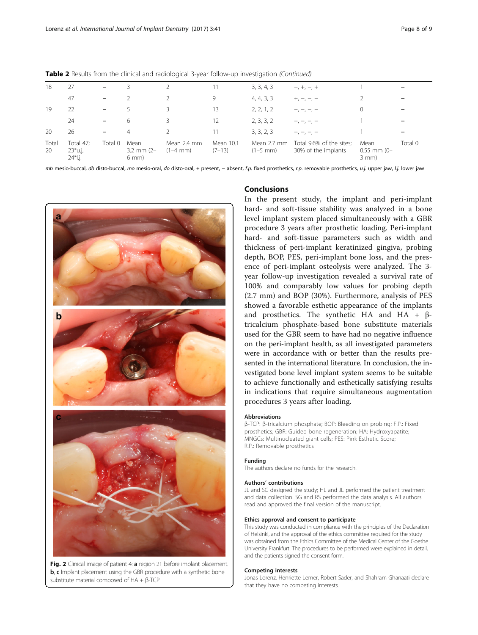| 18          | 27                                  | $\overline{\phantom{m}}$ |                                       |                           | 11                    | 3, 3, 4, 3                | $-$ , +, -, +                                   |                                        |         |
|-------------|-------------------------------------|--------------------------|---------------------------------------|---------------------------|-----------------------|---------------------------|-------------------------------------------------|----------------------------------------|---------|
|             | 47                                  | $\overline{\phantom{m}}$ |                                       |                           | 9                     | 4, 4, 3, 3                | $+,-,-,-$                                       |                                        |         |
| 19          | 22                                  | $\overline{\phantom{m}}$ |                                       |                           | 13                    | 2, 2, 1, 2                | $-,-,-,-$                                       |                                        |         |
|             | 24                                  | $\overline{\phantom{m}}$ | 6                                     |                           | 12                    | 2, 3, 3, 2                | $-,-,-,-$                                       |                                        |         |
| 20          | 26                                  | $\overline{\phantom{m}}$ | 4                                     |                           | 11                    | 3, 3, 2, 3                | $-,-,-,-$                                       |                                        |         |
| Total<br>20 | Total 47;<br>$23^*$ u.j,<br>24*l.j. | Total 0                  | Mean<br>$3.2$ mm $(2 -$<br>$6$ mm $)$ | Mean 2.4 mm<br>$(1-4$ mm) | Mean 10.1<br>$(7-13)$ | Mean 2.7 mm<br>$(1-5$ mm) | Total 9.6% of the sites;<br>30% of the implants | Mean<br>$0.55$ mm $(0 -$<br>$3$ mm $)$ | Total 0 |

<span id="page-7-0"></span>**Table 2** Results from the clinical and radiological 3-year follow-up investigation (Continued)

mb mesio-buccal, db disto-buccal, mo mesio-oral, do disto-oral, + present, - absent, f.p. fixed prosthetics, r.p. removable prosthetics, u.j. upper jaw, l.j. lower jaw



Fig. 2 Clinical image of patient 4: a region 21 before implant placement. b, c Implant placement using the GBR procedure with a synthetic bone substitute material composed of HA + β-TCP

## Conclusions

In the present study, the implant and peri-implant hard- and soft-tissue stability was analyzed in a bone level implant system placed simultaneously with a GBR procedure 3 years after prosthetic loading. Peri-implant hard- and soft-tissue parameters such as width and thickness of peri-implant keratinized gingiva, probing depth, BOP, PES, peri-implant bone loss, and the presence of peri-implant osteolysis were analyzed. The 3 year follow-up investigation revealed a survival rate of 100% and comparably low values for probing depth (2.7 mm) and BOP (30%). Furthermore, analysis of PES showed a favorable esthetic appearance of the implants and prosthetics. The synthetic HA and HA +  $β$ tricalcium phosphate-based bone substitute materials used for the GBR seem to have had no negative influence on the peri-implant health, as all investigated parameters were in accordance with or better than the results presented in the international literature. In conclusion, the investigated bone level implant system seems to be suitable to achieve functionally and esthetically satisfying results in indications that require simultaneous augmentation procedures 3 years after loading.

#### Abbreviations

β-TCP: β-tricalcium phosphate; BOP: Bleeding on probing; F.P.: Fixed prosthetics; GBR: Guided bone regeneration; HA: Hydroxyapatite; MNGCs: Multinucleated giant cells; PES: Pink Esthetic Score; R.P.: Removable prosthetics

#### Funding

The authors declare no funds for the research.

#### Authors' contributions

JL and SG designed the study; HL and JL performed the patient treatment and data collection. SG and RS performed the data analysis. All authors read and approved the final version of the manuscript.

#### Ethics approval and consent to participate

This study was conducted in compliance with the principles of the Declaration of Helsinki, and the approval of the ethics committee required for the study was obtained from the Ethics Committee of the Medical Center of the Goethe University Frankfurt. The procedures to be performed were explained in detail, and the patients signed the consent form.

#### Competing interests

Jonas Lorenz, Henriette Lerner, Robert Sader, and Shahram Ghanaati declare that they have no competing interests.